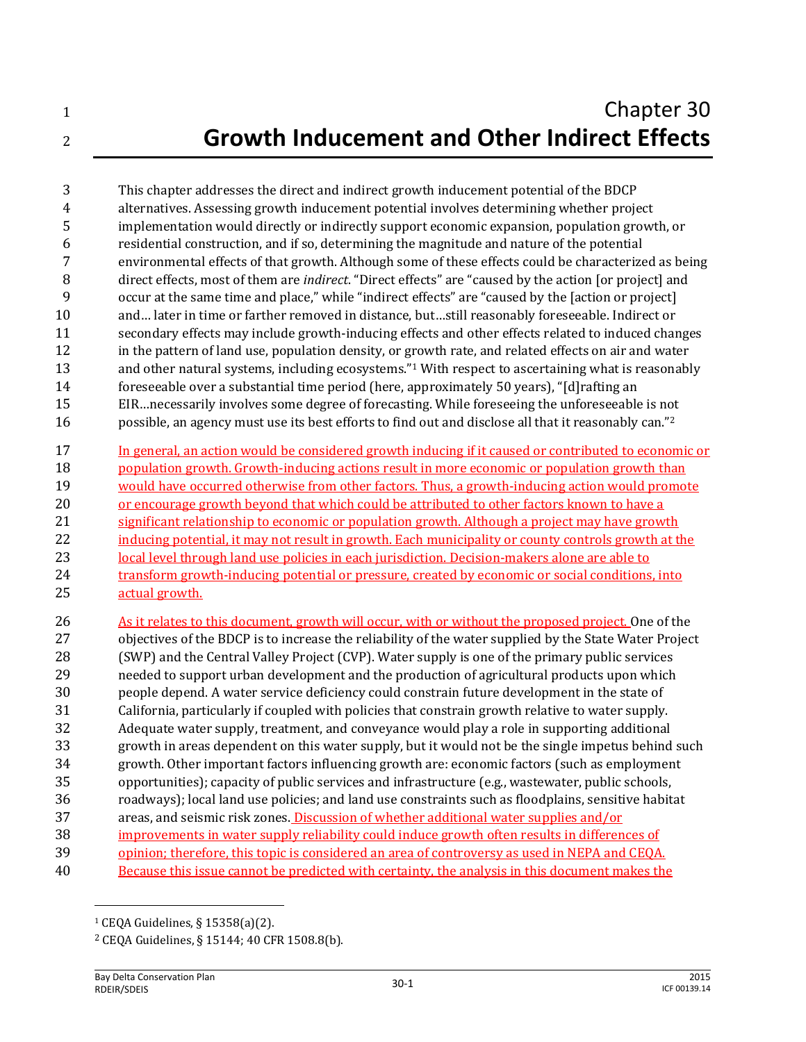This chapter addresses the direct and indirect growth inducement potential of the BDCP alternatives. Assessing growth inducement potential involves determining whether project implementation would directly or indirectly support economic expansion, population growth, or residential construction, and if so, determining the magnitude and nature of the potential environmental effects of that growth. Although some of these effects could be characterized as being direct effects, most of them are *indirect*. "Direct effects" are "caused by the action [or project] and occur at the same time and place," while "indirect effects" are "caused by the [action or project] and… later in time or farther removed in distance, but…still reasonably foreseeable. Indirect or secondary effects may include growth-inducing effects and other effects related to induced changes in the pattern of land use, population density, or growth rate, and related effects on air and water 13 and other natural systems, including ecosystems."<sup>1</sup> With respect to ascertaining what is reasonably foreseeable over a substantial time period (here, approximately 50 years), "[d]rafting an EIR…necessarily involves some degree of forecasting. While foreseeing the unforeseeable is not possible, an agency must use its best efforts to find out and disclose all that it reasonably can." <sup>2</sup>

 In general, an action would be considered growth inducing if it caused or contributed to economic or population growth. Growth-inducing actions result in more economic or population growth than would have occurred otherwise from other factors. Thus, a growth-inducing action would promote or encourage growth beyond that which could be attributed to other factors known to have a significant relationship to economic or population growth. Although a project may have growth 22 inducing potential, it may not result in growth. Each municipality or county controls growth at the 23 local level through land use policies in each jurisdiction. Decision-makers alone are able to 24 transform growth-inducing potential or pressure, created by economic or social conditions, into actual growth.

 As it relates to this document, growth will occur, with or without the proposed project. One of the objectives of the BDCP is to increase the reliability of the water supplied by the State Water Project (SWP) and the Central Valley Project (CVP). Water supply is one of the primary public services needed to support urban development and the production of agricultural products upon which people depend. A water service deficiency could constrain future development in the state of California, particularly if coupled with policies that constrain growth relative to water supply. Adequate water supply, treatment, and conveyance would play a role in supporting additional growth in areas dependent on this water supply, but it would not be the single impetus behind such growth. Other important factors influencing growth are: economic factors (such as employment opportunities); capacity of public services and infrastructure (e.g., wastewater, public schools, roadways); local land use policies; and land use constraints such as floodplains, sensitive habitat areas, and seismic risk zones. Discussion of whether additional water supplies and/or improvements in water supply reliability could induce growth often results in differences of opinion; therefore, this topic is considered an area of controversy as used in NEPA and CEQA. Because this issue cannot be predicted with certainty, the analysis in this document makes the

 $\overline{\phantom{0}}$ 

CEQA Guidelines, § 15358(a)(2).

CEQA Guidelines, § 15144; 40 CFR 1508.8(b).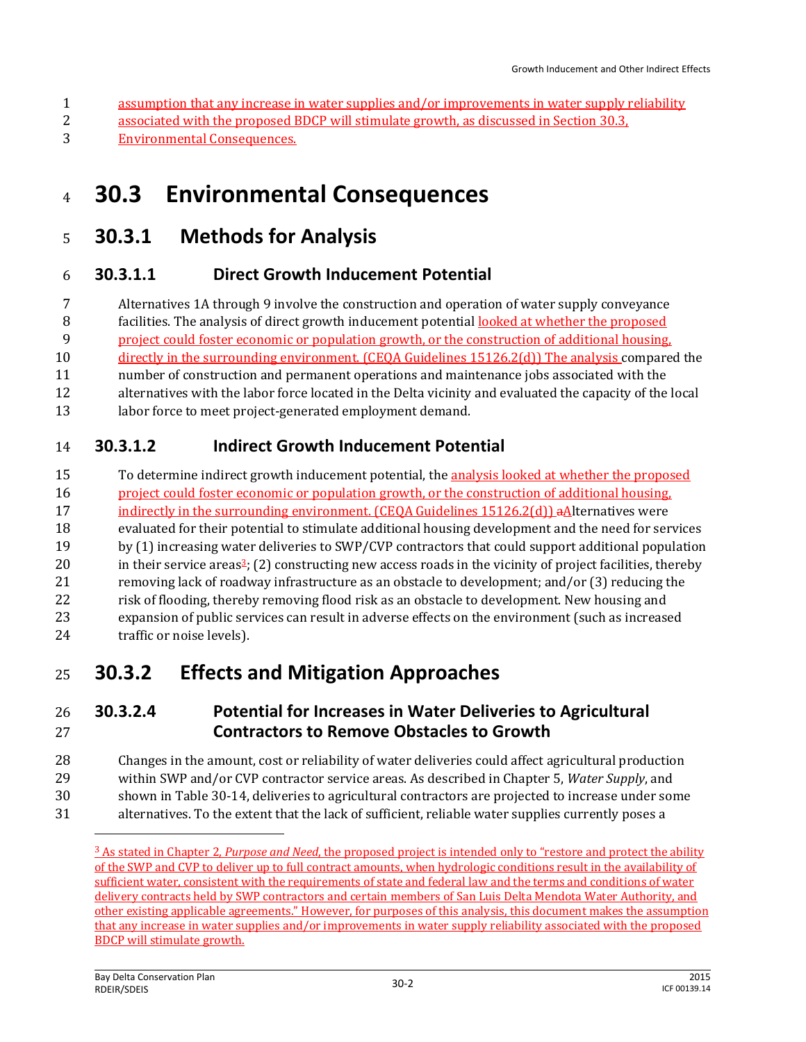- assumption that any increase in water supplies and/or improvements in water supply reliability
- associated with the proposed BDCP will stimulate growth, as discussed in Section 30.3,
- Environmental Consequences.

# **30.3 Environmental Consequences**

### **30.3.1 Methods for Analysis**

#### **30.3.1.1 Direct Growth Inducement Potential**

 Alternatives 1A through 9 involve the construction and operation of water supply conveyance facilities. The analysis of direct growth inducement potential looked at whether the proposed project could foster economic or population growth, or the construction of additional housing,

directly in the surrounding environment. (CEQA Guidelines 15126.2(d)) The analysis compared the

- number of construction and permanent operations and maintenance jobs associated with the
- alternatives with the labor force located in the Delta vicinity and evaluated the capacity of the local
- 13 labor force to meet project-generated employment demand.

#### **30.3.1.2 Indirect Growth Inducement Potential**

 To determine indirect growth inducement potential, the analysis looked at whether the proposed project could foster economic or population growth, or the construction of additional housing, 17 indirectly in the surrounding environment. (CEOA Guidelines 15126.2(d)) aAlternatives were evaluated for their potential to stimulate additional housing development and the need for services by (1) increasing water deliveries to SWP/CVP contractors that could support additional population 20 in their service areas<sup>2</sup>; (2) constructing new access roads in the vicinity of project facilities, thereby removing lack of roadway infrastructure as an obstacle to development; and/or (3) reducing the 22 risk of flooding, thereby removing flood risk as an obstacle to development. New housing and expansion of public services can result in adverse effects on the environment (such as increased 24 traffic or noise levels).

## **30.3.2 Effects and Mitigation Approaches**

#### **30.3.2.4 Potential for Increases in Water Deliveries to Agricultural Contractors to Remove Obstacles to Growth**

- Changes in the amount, cost or reliability of water deliveries could affect agricultural production within SWP and/or CVP contractor service areas. As described in Chapter 5, *Water Supply*, and
- shown in Table 30-14, deliveries to agricultural contractors are projected to increase under some
- alternatives. To the extent that the lack of sufficient, reliable water supplies currently poses a  $\overline{\phantom{0}}$

 As stated in Chapter 2, *Purpose and Need*, the proposed project is intended only to "restore and protect the ability of the SWP and CVP to deliver up to full contract amounts, when hydrologic conditions result in the availability of sufficient water, consistent with the requirements of state and federal law and the terms and conditions of water delivery contracts held by SWP contractors and certain members of San Luis Delta Mendota Water Authority, and other existing applicable agreements." However, for purposes of this analysis, this document makes the assumption that any increase in water supplies and/or improvements in water supply reliability associated with the proposed BDCP will stimulate growth.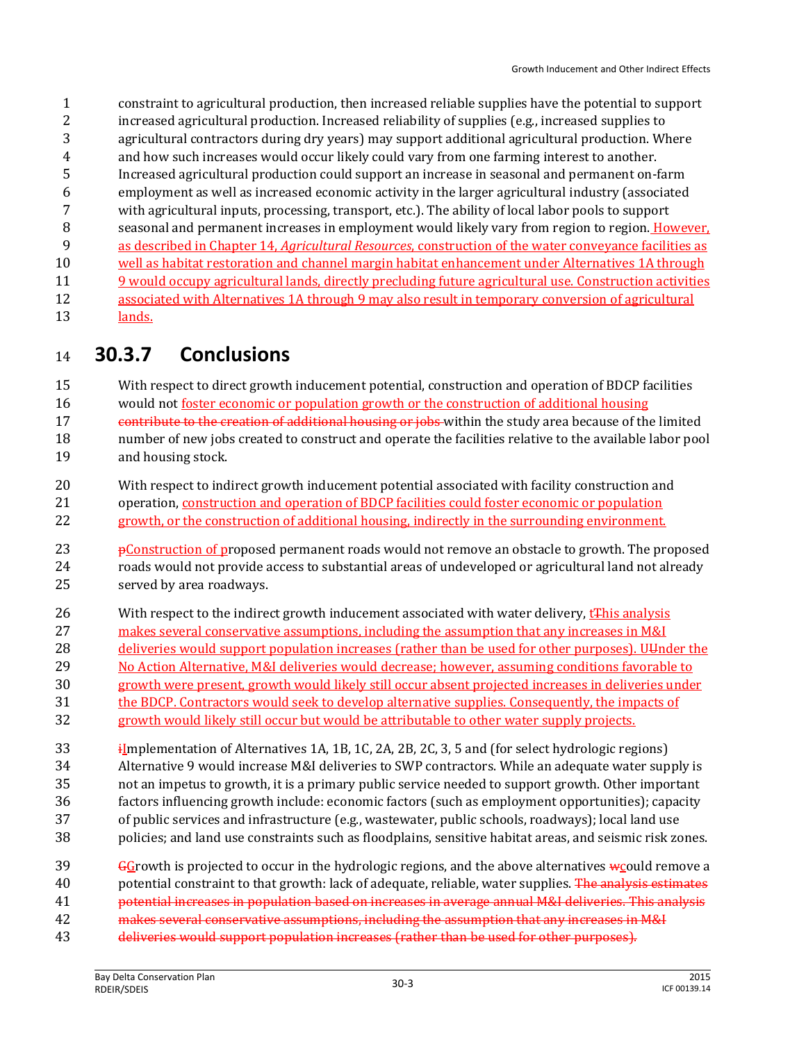constraint to agricultural production, then increased reliable supplies have the potential to support increased agricultural production. Increased reliability of supplies (e.g., increased supplies to agricultural contractors during dry years) may support additional agricultural production. Where and how such increases would occur likely could vary from one farming interest to another. Increased agricultural production could support an increase in seasonal and permanent on-farm employment as well as increased economic activity in the larger agricultural industry (associated with agricultural inputs, processing, transport, etc.). The ability of local labor pools to support 8 seasonal and permanent increases in employment would likely vary from region to region. However, as described in Chapter 14, *Agricultural Resources*, construction of the water conveyance facilities as well as habitat restoration and channel margin habitat enhancement under Alternatives 1A through 9 would occupy agricultural lands, directly precluding future agricultural use. Construction activities associated with Alternatives 1A through 9 may also result in temporary conversion of agricultural 13 lands.

**30.3.7 Conclusions**

 With respect to direct growth inducement potential, construction and operation of BDCP facilities would not foster economic or population growth or the construction of additional housing 17 contribute to the creation of additional housing or jobs-within the study area because of the limited number of new jobs created to construct and operate the facilities relative to the available labor pool

- and housing stock.
- With respect to indirect growth inducement potential associated with facility construction and operation, construction and operation of BDCP facilities could foster economic or population 22 growth, or the construction of additional housing, indirectly in the surrounding environment.
- **pConstruction of proposed permanent roads would not remove an obstacle to growth. The proposed**  roads would not provide access to substantial areas of undeveloped or agricultural land not already served by area roadways.
- 26 With respect to the indirect growth inducement associated with water delivery, t<sub>this</sub> analysis makes several conservative assumptions, including the assumption that any increases in M&I 28 deliveries would support population increases (rather than be used for other purposes). U under the
- No Action Alternative, M&I deliveries would decrease; however, assuming conditions favorable to
- growth were present, growth would likely still occur absent projected increases in deliveries under
- the BDCP. Contractors would seek to develop alternative supplies. Consequently, the impacts of
- growth would likely still occur but would be attributable to other water supply projects.

**i**Implementation of Alternatives 1A, 1B, 1C, 2A, 2B, 2C, 3, 5 and (for select hydrologic regions) Alternative 9 would increase M&I deliveries to SWP contractors. While an adequate water supply is not an impetus to growth, it is a primary public service needed to support growth. Other important factors influencing growth include: economic factors (such as employment opportunities); capacity of public services and infrastructure (e.g., wastewater, public schools, roadways); local land use policies; and land use constraints such as floodplains, sensitive habitat areas, and seismic risk zones.

- $39 \qquad$  GGrowth is projected to occur in the hydrologic regions, and the above alternatives w could remove a 40 potential constraint to that growth: lack of adequate, reliable, water supplies. The analysis estimates potential increases in population based on increases in average annual M&I deliveries. This analysis
- 42 makes several conservative assumptions, including the assumption that any increases in M&I
- deliveries would support population increases (rather than be used for other purposes).